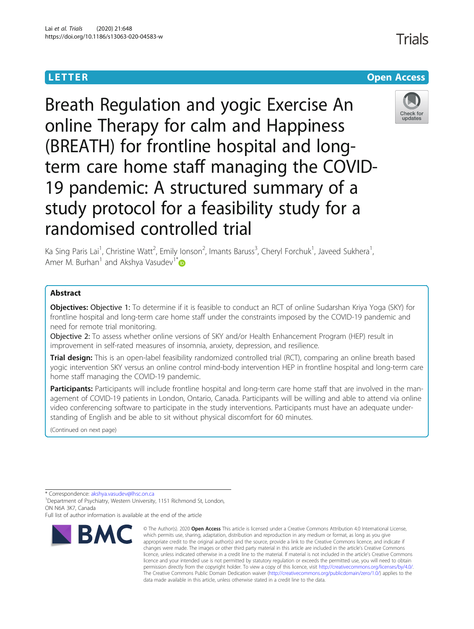# **LETTER CONSTRUCTION CONSTRUCTION**

Breath Regulation and yogic Exercise An online Therapy for calm and Happiness (BREATH) for frontline hospital and longterm care home staff managing the COVID-19 pandemic: A structured summary of a study protocol for a feasibility study for a randomised controlled trial



Ka Sing Paris Lai<sup>1</sup>, Christine Watt<sup>2</sup>, Emily Ionson<sup>2</sup>, Imants Baruss<sup>3</sup>, Cheryl Forchuk<sup>1</sup>, Javeed Sukhera<sup>1</sup> , Amer M. Burhan<sup>1</sup> and Akshya Vasudev<sup>1[\\*](http://orcid.org/0000-0002-0423-4598)</sup>

# Abstract

Objectives: Objective 1: To determine if it is feasible to conduct an RCT of online Sudarshan Kriya Yoga (SKY) for frontline hospital and long-term care home staff under the constraints imposed by the COVID-19 pandemic and need for remote trial monitoring.

Objective 2: To assess whether online versions of SKY and/or Health Enhancement Program (HEP) result in improvement in self-rated measures of insomnia, anxiety, depression, and resilience.

Trial design: This is an open-label feasibility randomized controlled trial (RCT), comparing an online breath based yogic intervention SKY versus an online control mind-body intervention HEP in frontline hospital and long-term care home staff managing the COVID-19 pandemic.

Participants: Participants will include frontline hospital and long-term care home staff that are involved in the management of COVID-19 patients in London, Ontario, Canada. Participants will be willing and able to attend via online video conferencing software to participate in the study interventions. Participants must have an adequate understanding of English and be able to sit without physical discomfort for 60 minutes.

(Continued on next page)

Full list of author information is available at the end of the article



<sup>©</sup> The Author(s), 2020 **Open Access** This article is licensed under a Creative Commons Attribution 4.0 International License, which permits use, sharing, adaptation, distribution and reproduction in any medium or format, as long as you give appropriate credit to the original author(s) and the source, provide a link to the Creative Commons licence, and indicate if changes were made. The images or other third party material in this article are included in the article's Creative Commons licence, unless indicated otherwise in a credit line to the material. If material is not included in the article's Creative Commons licence and your intended use is not permitted by statutory regulation or exceeds the permitted use, you will need to obtain permission directly from the copyright holder. To view a copy of this licence, visit [http://creativecommons.org/licenses/by/4.0/.](http://creativecommons.org/licenses/by/4.0/) The Creative Commons Public Domain Dedication waiver [\(http://creativecommons.org/publicdomain/zero/1.0/](http://creativecommons.org/publicdomain/zero/1.0/)) applies to the data made available in this article, unless otherwise stated in a credit line to the data.

<sup>\*</sup> Correspondence: [akshya.vasudev@lhsc.on.ca](mailto:akshya.vasudev@lhsc.on.ca) <sup>1</sup>

<sup>&</sup>lt;sup>1</sup>Department of Psychiatry, Western University, 1151 Richmond St, London, ON N6A 3K7, Canada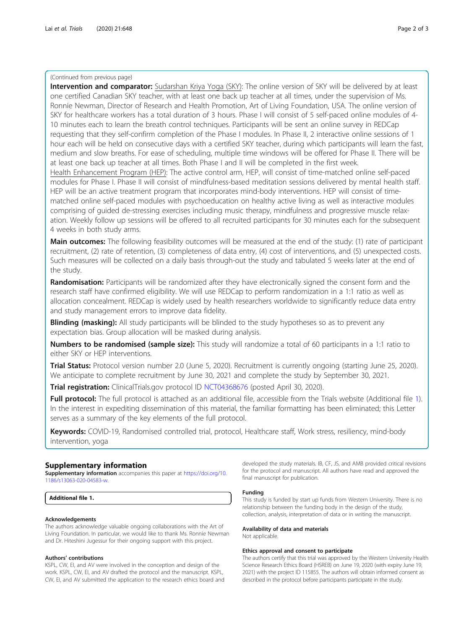### (Continued from previous page)

Intervention and comparator: Sudarshan Kriya Yoga (SKY): The online version of SKY will be delivered by at least one certified Canadian SKY teacher, with at least one back up teacher at all times, under the supervision of Ms. Ronnie Newman, Director of Research and Health Promotion, Art of Living Foundation, USA. The online version of SKY for healthcare workers has a total duration of 3 hours. Phase I will consist of 5 self-paced online modules of 4- 10 minutes each to learn the breath control techniques. Participants will be sent an online survey in REDCap requesting that they self-confirm completion of the Phase I modules. In Phase II, 2 interactive online sessions of 1 hour each will be held on consecutive days with a certified SKY teacher, during which participants will learn the fast, medium and slow breaths. For ease of scheduling, multiple time windows will be offered for Phase II. There will be at least one back up teacher at all times. Both Phase I and II will be completed in the first week.

Health Enhancement Program (HEP): The active control arm, HEP, will consist of time-matched online self-paced modules for Phase I. Phase II will consist of mindfulness-based meditation sessions delivered by mental health staff. HEP will be an active treatment program that incorporates mind-body interventions. HEP will consist of timematched online self-paced modules with psychoeducation on healthy active living as well as interactive modules comprising of guided de-stressing exercises including music therapy, mindfulness and progressive muscle relaxation. Weekly follow up sessions will be offered to all recruited participants for 30 minutes each for the subsequent 4 weeks in both study arms.

Main outcomes: The following feasibility outcomes will be measured at the end of the study: (1) rate of participant recruitment, (2) rate of retention, (3) completeness of data entry, (4) cost of interventions, and (5) unexpected costs. Such measures will be collected on a daily basis through-out the study and tabulated 5 weeks later at the end of the study.

Randomisation: Participants will be randomized after they have electronically signed the consent form and the research staff have confirmed eligibility. We will use REDCap to perform randomization in a 1:1 ratio as well as allocation concealment. REDCap is widely used by health researchers worldwide to significantly reduce data entry and study management errors to improve data fidelity.

**Blinding (masking):** All study participants will be blinded to the study hypotheses so as to prevent any expectation bias. Group allocation will be masked during analysis.

Numbers to be randomised (sample size): This study will randomize a total of 60 participants in a 1:1 ratio to either SKY or HEP interventions.

Trial Status: Protocol version number 2.0 (June 5, 2020). Recruitment is currently ongoing (starting June 25, 2020). We anticipate to complete recruitment by June 30, 2021 and complete the study by September 30, 2021.

**Trial registration:** ClinicalTrials.gov protocol ID [NCT04368676](mailto:NCT04368676) (posted April 30, 2020).

Full protocol: The full protocol is attached as an additional file, accessible from the Trials website (Additional file 1). In the interest in expediting dissemination of this material, the familiar formatting has been eliminated; this Letter serves as a summary of the key elements of the full protocol.

Keywords: COVID-19, Randomised controlled trial, protocol, Healthcare staff, Work stress, resiliency, mind-body intervention, yoga

## Supplementary information

Supplementary information accompanies this paper at [https://doi.org/10.](https://doi.org/10.1186/s13063-020-04583-w) [1186/s13063-020-04583-w](https://doi.org/10.1186/s13063-020-04583-w).

Additional file 1.

#### Acknowledgements

The authors acknowledge valuable ongoing collaborations with the Art of Living Foundation. In particular, we would like to thank Ms. Ronnie Newman and Dr. Hiteshini Jugessur for their ongoing support with this project.

#### Authors' contributions

KSPL, CW, EI, and AV were involved in the conception and design of the work. KSPL, CW, EI, and AV drafted the protocol and the manuscript. KSPL, CW, EI, and AV submitted the application to the research ethics board and developed the study materials. IB, CF, JS, and AMB provided critical revisions for the protocol and manuscript. All authors have read and approved the final manuscript for publication.

#### Funding

This study is funded by start up funds from Western University. There is no relationship between the funding body in the design of the study, collection, analysis, interpretation of data or in writing the manuscript.

#### Availability of data and materials

Not applicable.

#### Ethics approval and consent to participate

The authors certify that this trial was approved by the Western University Health Science Research Ethics Board (HSREB) on June 19, 2020 (with expiry June 19, 2021) with the project ID 115855. The authors will obtain informed consent as described in the protocol before participants participate in the study.